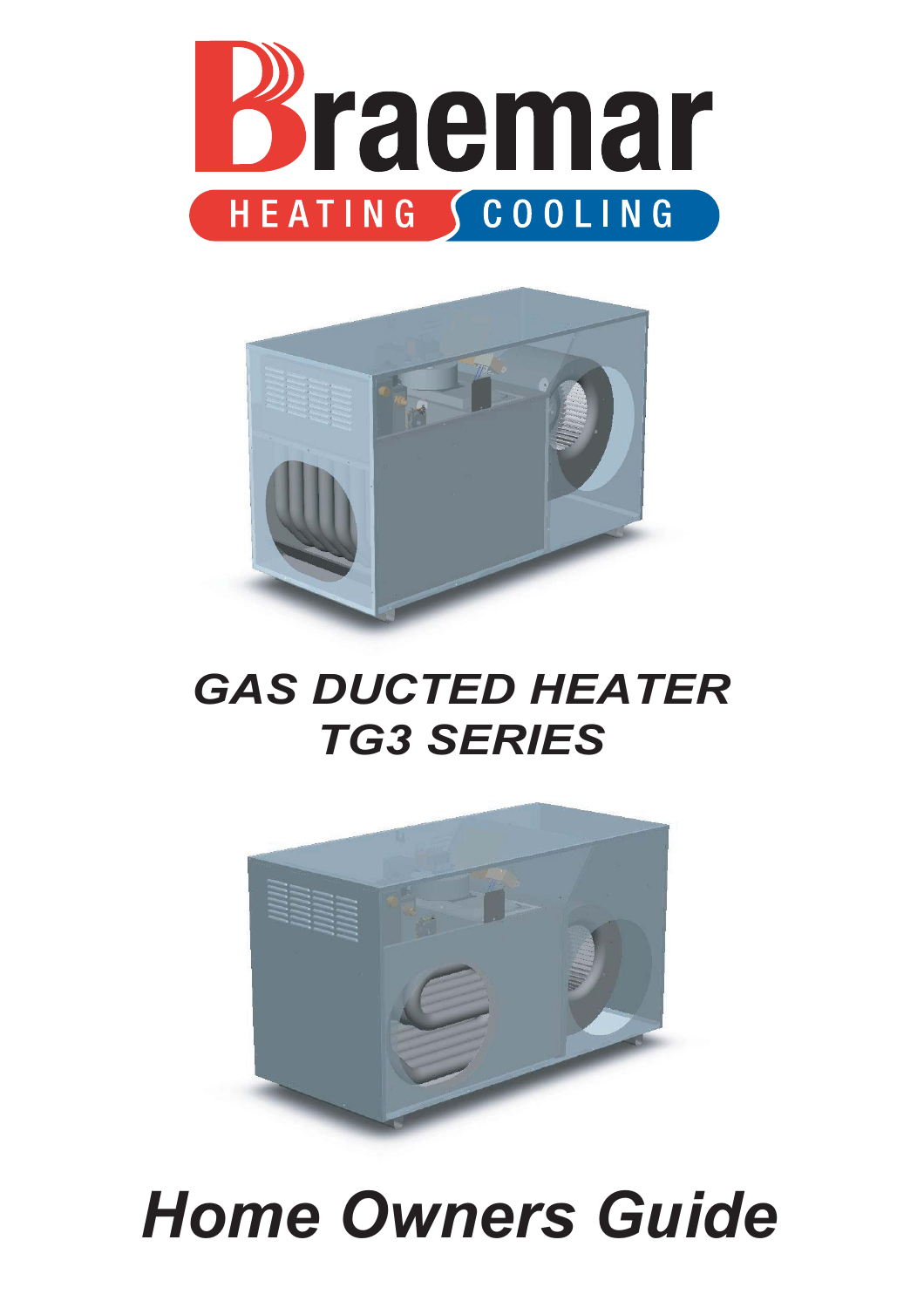



### *GAS DUCTED HEATER TG3 SERIES*



# *Home Owners Guide*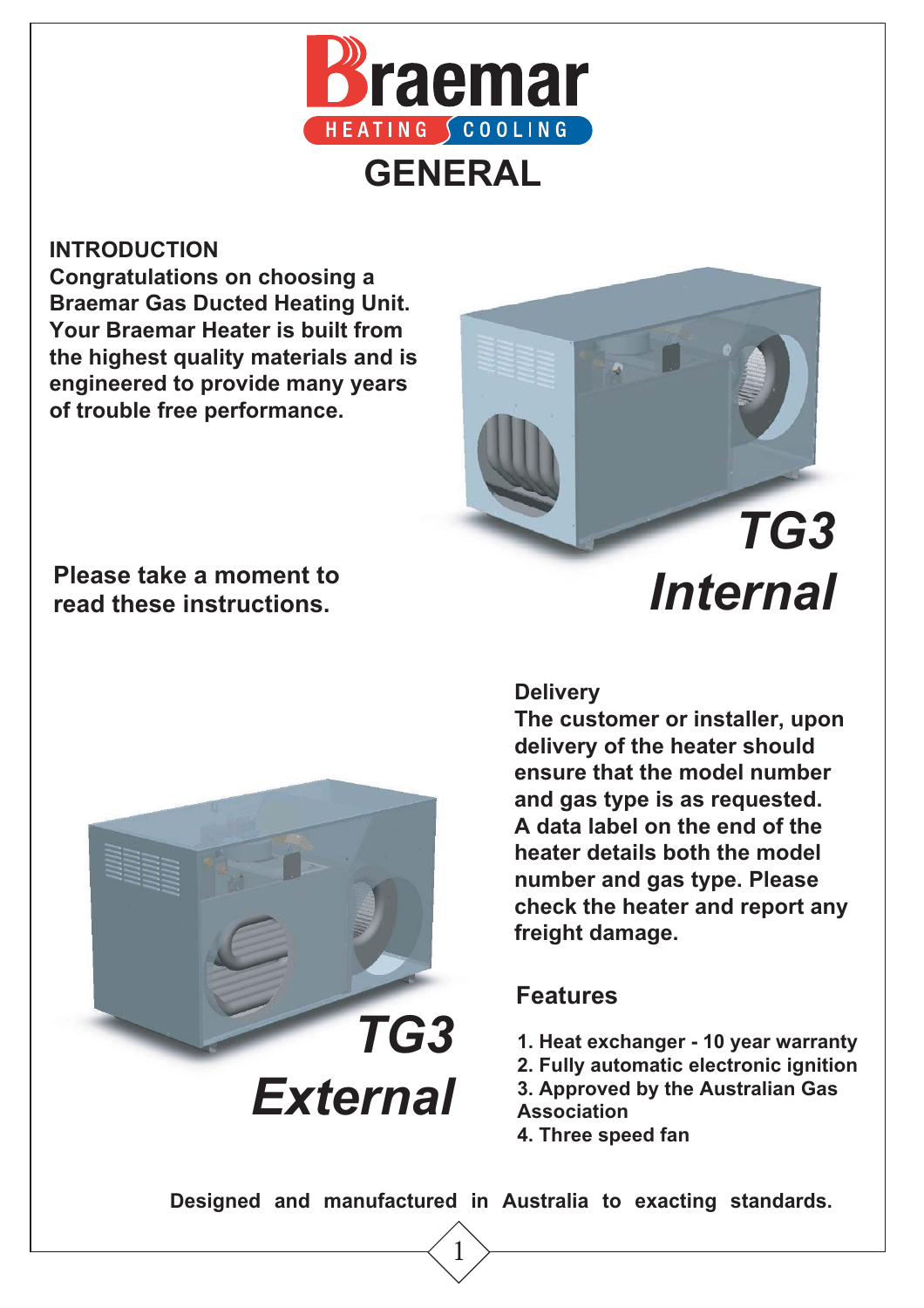

#### **INTRODUCTION**

**Congratulations on choosing a Braemar Gas Ducted Heating Unit. Your Braemar Heater is built from the highest quality materials and is engineered to provide many years of trouble free performance.** 

## *TG3 Internal*

 **Please take a moment to read these instructions.**



#### **Delivery**

**The customer or installer, upon delivery of the heater should ensure that the model number and gas type is as requested. A data label on the end of the heater details both the model number and gas type. Please check the heater and report any freight damage.**

### **Features**

- **1. Heat exchanger 10 year warranty**
- **2. Fully automatic electronic ignition**
- **3. Approved by the Australian Gas Association**
- **4. Three speed fan**

**Designed and manufactured in Australia to exacting standards.**

1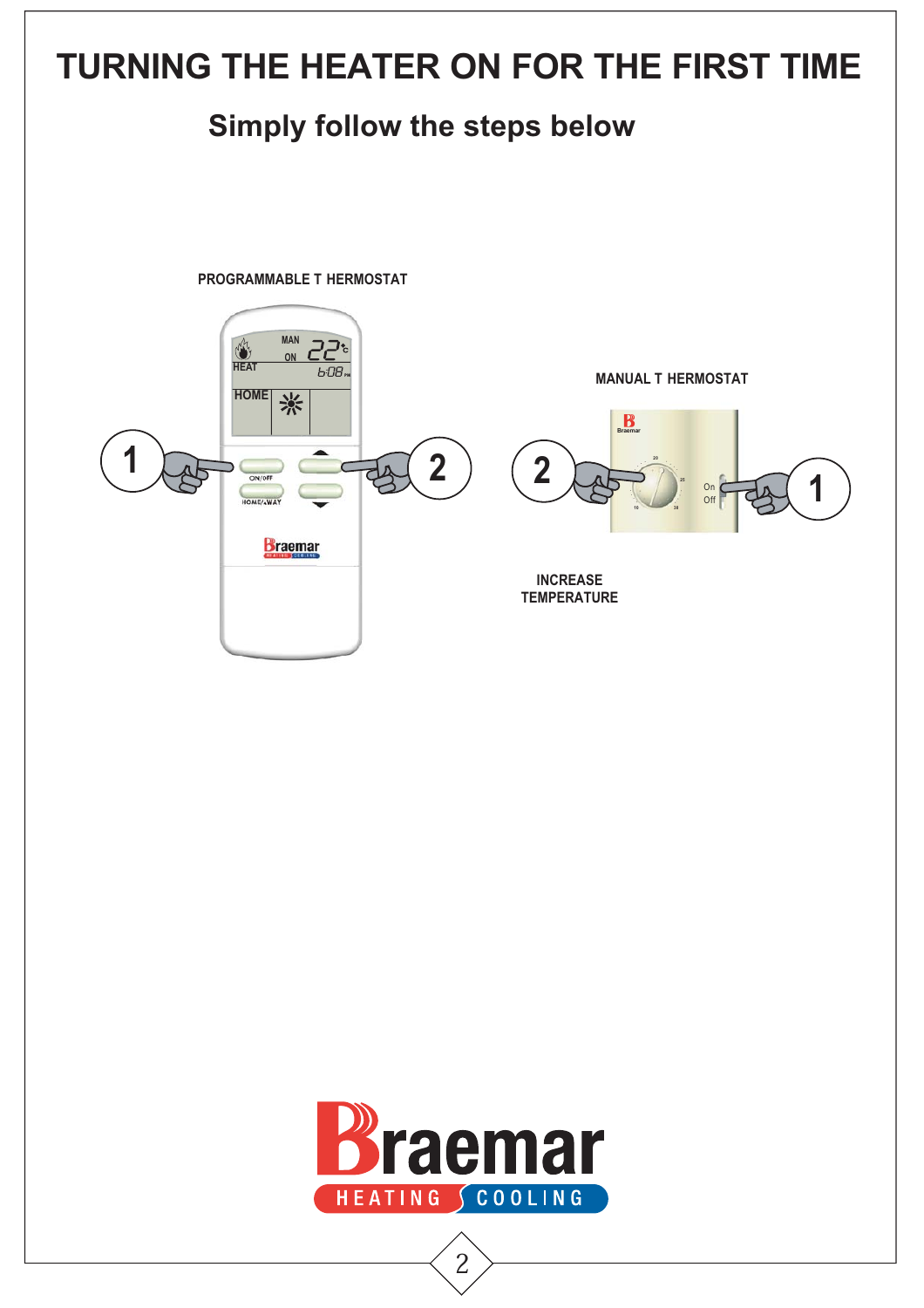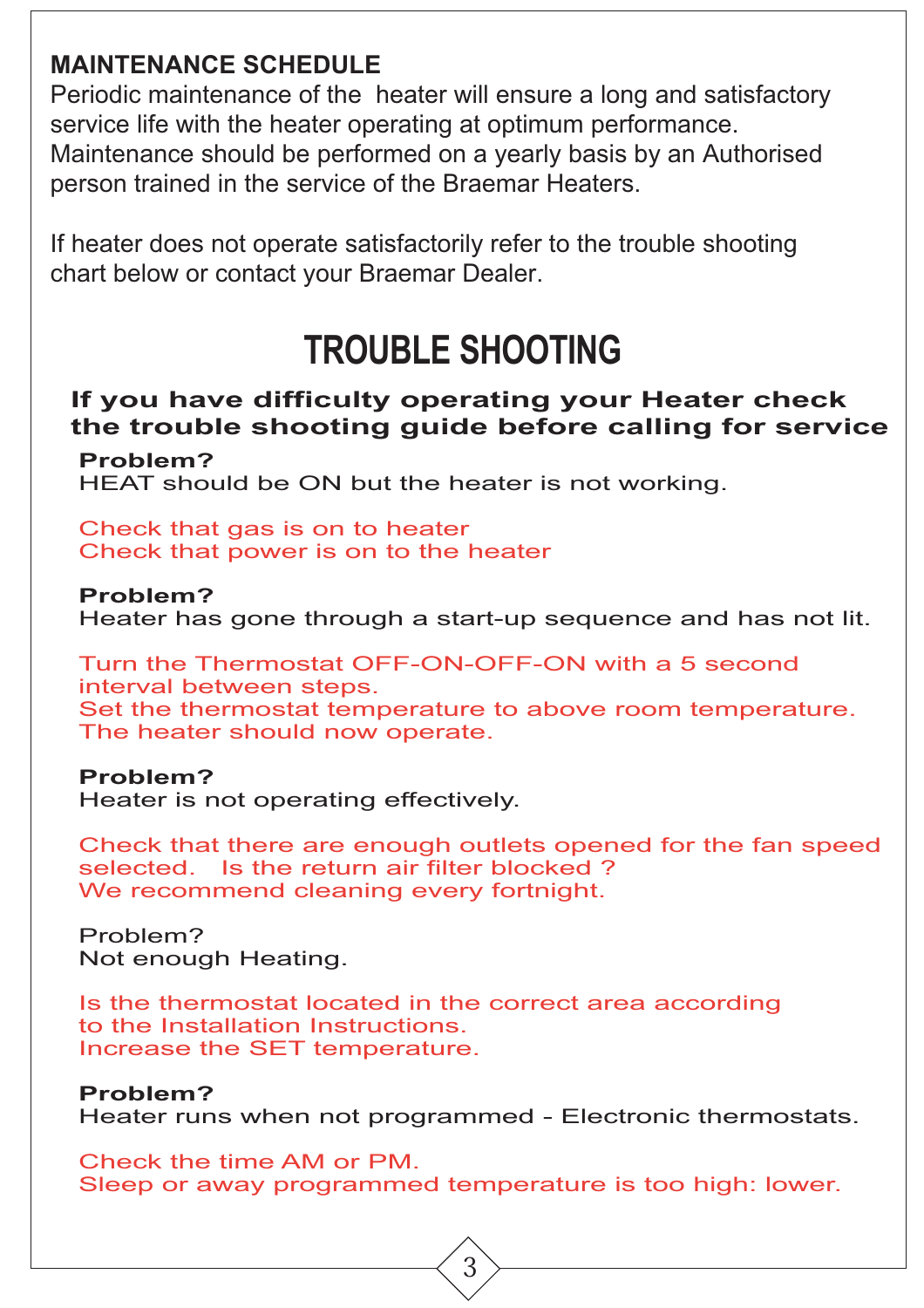### **MAINTENANCE SCHEDULE**

Periodic maintenance of the heater will ensure a long and satisfactory service life with the heater operating at optimum performance. Maintenance should be performed on a yearly basis by an Authorised person trained in the service of the Braemar Heaters.

If heater does not operate satisfactorily refer to the trouble shooting chart below or contact your Braemar Dealer.

### **TROUBLE SHOOTING**

### **Problem? If you have difficulty operating your Heater check the trouble shooting guide before calling for service**

HEAT should be ON but the heater is not working.

Check that gas is on to heater Check that power is on to the heater

**Problem?** Heater has gone through a start-up sequence and has not lit.

Turn the Thermostat OFF-ON-OFF-ON with a 5 second interval between steps. Set the thermostat temperature to above room temperature. The heater should now operate.

#### **Problem?**

Heater is not operating effectively.

Check that there are enough outlets opened for the fan speed selected. Is the return air filter blocked ? We recommend cleaning every fortnight.

Problem? Not enough Heating.

Is the thermostat located in the correct area according to the Installation Instructions. Increase the SET temperature.

### **Problem?**

Heater runs when not programmed - Electronic thermostats.

Check the time AM or PM. Sleep or away programmed temperature is too high: lower.

3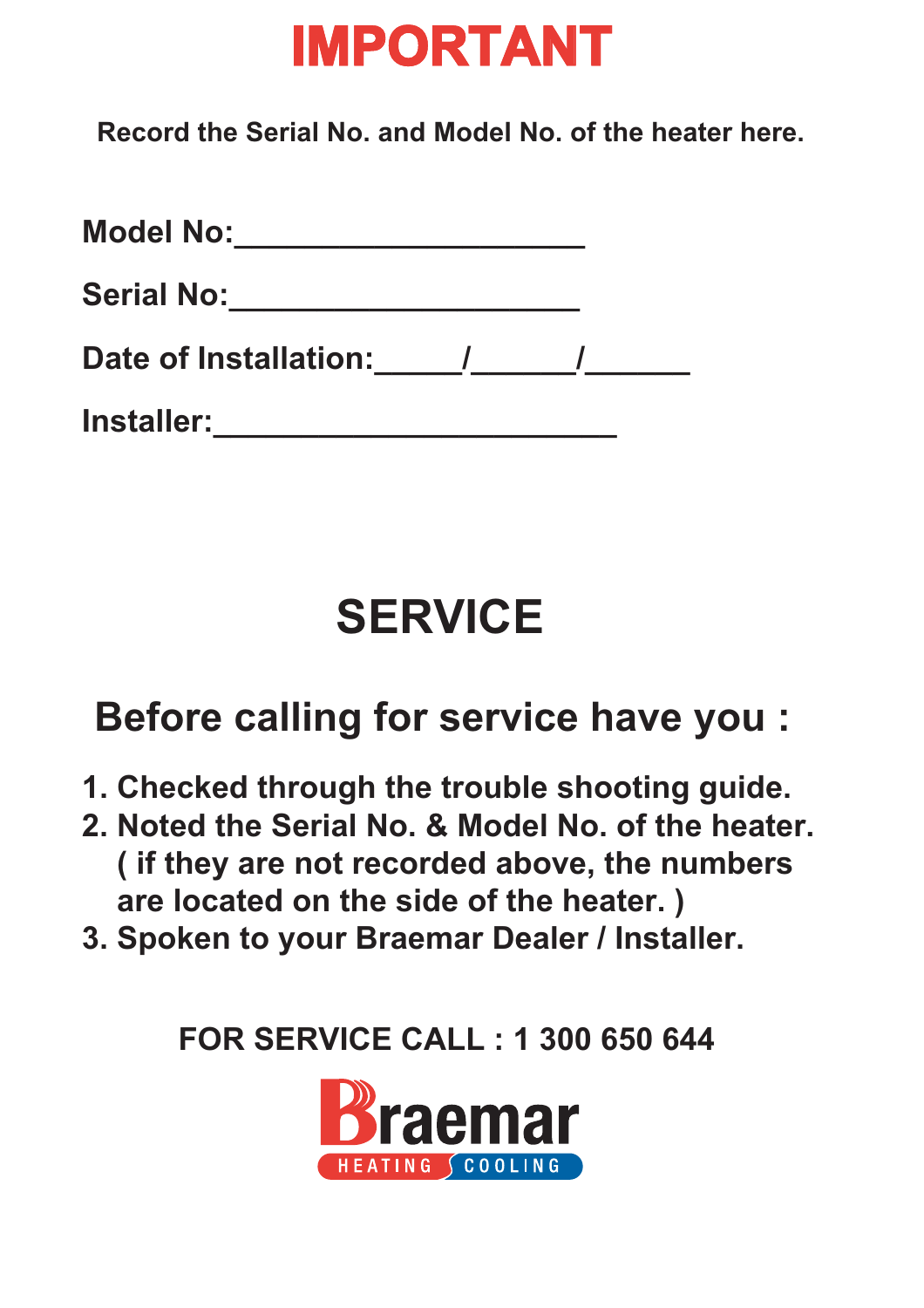## **IMPORTANT**

 **Record the Serial No. and Model No. of the heater here.**

| <b>Model No:</b>      |  |  |
|-----------------------|--|--|
| <b>Serial No:</b>     |  |  |
| Date of Installation: |  |  |
| <b>Installer:</b>     |  |  |

## **SERVICE**

### **Before calling for service have you :**

- **1. Checked through the trouble shooting guide.**
- **2. Noted the Serial No. & Model No. of the heater. ( if they are not recorded above, the numbers are located on the side of the heater. )**
- **3. Spoken to your Braemar Dealer / Installer.**

 **FOR SERVICE CALL : 1 300 650 644**